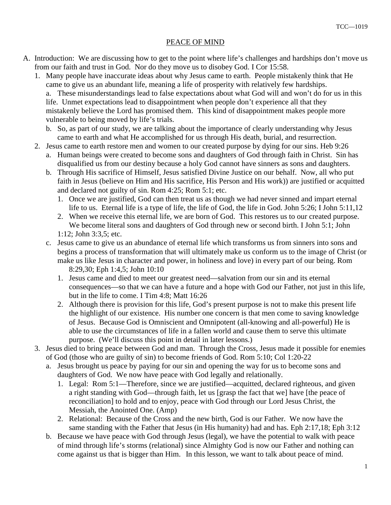## PEACE OF MIND

- A. Introduction: We are discussing how to get to the point where life's challenges and hardships don't move us from our faith and trust in God. Nor do they move us to disobey God. I Cor 15:58.
	- 1. Many people have inaccurate ideas about why Jesus came to earth. People mistakenly think that He came to give us an abundant life, meaning a life of prosperity with relatively few hardships.

 a. These misunderstandings lead to false expectations about what God will and won't do for us in this life. Unmet expectations lead to disappointment when people don't experience all that they mistakenly believe the Lord has promised them. This kind of disappointment makes people more vulnerable to being moved by life's trials.

- b. So, as part of our study, we are talking about the importance of clearly understanding why Jesus came to earth and what He accomplished for us through His death, burial, and resurrection.
- 2. Jesus came to earth restore men and women to our created purpose by dying for our sins. Heb 9:26
	- a. Human beings were created to become sons and daughters of God through faith in Christ. Sin has disqualified us from our destiny because a holy God cannot have sinners as sons and daughters.
		- b. Through His sacrifice of Himself, Jesus satisfied Divine Justice on our behalf. Now, all who put faith in Jesus (believe on Him and His sacrifice, His Person and His work)) are justified or acquitted and declared not guilty of sin. Rom 4:25; Rom 5:1; etc.
			- 1. Once we are justified, God can then treat us as though we had never sinned and impart eternal life to us. Eternal life is a type of life, the life of God, the life in God. John 5:26; I John 5:11,12
			- 2. When we receive this eternal life, we are born of God. This restores us to our created purpose. We become literal sons and daughters of God through new or second birth. I John 5:1; John 1:12; John 3:3,5; etc.
		- c. Jesus came to give us an abundance of eternal life which transforms us from sinners into sons and begins a process of transformation that will ultimately make us conform us to the image of Christ (or make us like Jesus in character and power, in holiness and love) in every part of our being. Rom 8:29,30; Eph 1:4,5; John 10:10
			- 1. Jesus came and died to meet our greatest need—salvation from our sin and its eternal consequences—so that we can have a future and a hope with God our Father, not just in this life, but in the life to come. I Tim 4:8; Matt 16:26
			- 2. Although there is provision for this life, God's present purpose is not to make this present life the highlight of our existence. His number one concern is that men come to saving knowledge of Jesus. Because God is Omniscient and Omnipotent (all-knowing and all-powerful) He is able to use the circumstances of life in a fallen world and cause them to serve this ultimate purpose. (We'll discuss this point in detail in later lessons.)
- 3. Jesus died to bring peace between God and man. Through the Cross, Jesus made it possible for enemies of God (those who are guilty of sin) to become friends of God. Rom 5:10; Col 1:20-22
	- a. Jesus brought us peace by paying for our sin and opening the way for us to become sons and daughters of God. We now have peace with God legally and relationally.
		- 1. Legal: Rom 5:1—Therefore, since we are justified—acquitted, declared righteous, and given a right standing with God—through faith, let us [grasp the fact that we] have [the peace of reconciliation] to hold and to enjoy, peace with God through our Lord Jesus Christ, the Messiah, the Anointed One. (Amp)
		- 2. Relational: Because of the Cross and the new birth, God is our Father. We now have the same standing with the Father that Jesus (in His humanity) had and has. Eph 2:17,18; Eph 3:12
	- b. Because we have peace with God through Jesus (legal), we have the potential to walk with peace of mind through life's storms (relational) since Almighty God is now our Father and nothing can come against us that is bigger than Him. In this lesson, we want to talk about peace of mind.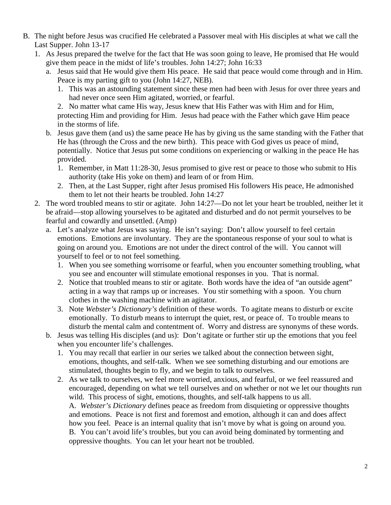- B. The night before Jesus was crucified He celebrated a Passover meal with His disciples at what we call the Last Supper. John 13-17
	- 1. As Jesus prepared the twelve for the fact that He was soon going to leave, He promised that He would give them peace in the midst of life's troubles. John 14:27; John 16:33
		- a. Jesus said that He would give them His peace. He said that peace would come through and in Him. Peace is my parting gift to you (John 14:27, NEB).
			- 1. This was an astounding statement since these men had been with Jesus for over three years and had never once seen Him agitated, worried, or fearful.

 2. No matter what came His way, Jesus knew that His Father was with Him and for Him, protecting Him and providing for Him. Jesus had peace with the Father which gave Him peace in the storms of life.

- b. Jesus gave them (and us) the same peace He has by giving us the same standing with the Father that He has (through the Cross and the new birth). This peace with God gives us peace of mind, potentially. Notice that Jesus put some conditions on experiencing or walking in the peace He has provided.
	- 1. Remember, in Matt 11:28-30, Jesus promised to give rest or peace to those who submit to His authority (take His yoke on them) and learn of or from Him.
	- 2. Then, at the Last Supper, right after Jesus promised His followers His peace, He admonished them to let not their hearts be troubled. John 14:27
- 2. The word troubled means to stir or agitate. John 14:27—Do not let your heart be troubled, neither let it be afraid—stop allowing yourselves to be agitated and disturbed and do not permit yourselves to be fearful and cowardly and unsettled. (Amp)
	- a. Let's analyze what Jesus was saying. He isn't saying: Don't allow yourself to feel certain emotions. Emotions are involuntary. They are the spontaneous response of your soul to what is going on around you. Emotions are not under the direct control of the will. You cannot will yourself to feel or to not feel something.
		- 1. When you see something worrisome or fearful, when you encounter something troubling, what you see and encounter will stimulate emotional responses in you. That is normal.
		- 2. Notice that troubled means to stir or agitate. Both words have the idea of "an outside agent" acting in a way that ramps up or increases. You stir something with a spoon. You churn clothes in the washing machine with an agitator.
		- 3. Note *Webster's Dictionary's* definition of these words. To agitate means to disturb or excite emotionally. To disturb means to interrupt the quiet, rest, or peace of. To trouble means to disturb the mental calm and contentment of. Worry and distress are synonyms of these words.
	- b. Jesus was telling His disciples (and us): Don't agitate or further stir up the emotions that you feel when you encounter life's challenges.
		- 1. You may recall that earlier in our series we talked about the connection between sight, emotions, thoughts, and self-talk. When we see something disturbing and our emotions are stimulated, thoughts begin to fly, and we begin to talk to ourselves.
		- 2. As we talk to ourselves, we feel more worried, anxious, and fearful, or we feel reassured and encouraged, depending on what we tell ourselves and on whether or not we let our thoughts run wild. This process of sight, emotions, thoughts, and self-talk happens to us all. A. *Webster's Dictionary* defines peace as freedom from disquieting or oppressive thoughts and emotions. Peace is not first and foremost and emotion, although it can and does affect how you feel. Peace is an internal quality that isn't move by what is going on around you. B. You can't avoid life's troubles, but you can avoid being dominated by tormenting and oppressive thoughts. You can let your heart not be troubled.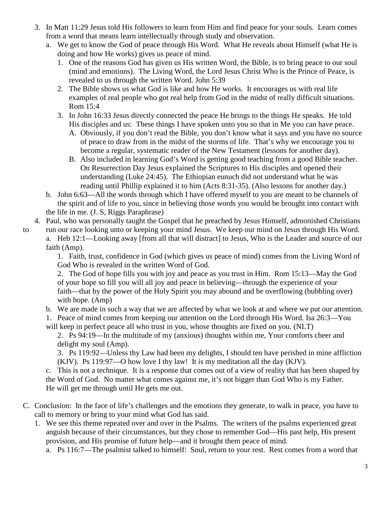- 3. In Matt 11:29 Jesus told His followers to learn from Him and find peace for your souls. Learn comes from a word that means learn intellectually through study and observation.
	- a. We get to know the God of peace through His Word. What He reveals about Himself (what He is doing and how He works) gives us peace of mind.
		- 1. One of the reasons God has given us His written Word, the Bible, is to bring peace to our soul (mind and emotions). The Living Word, the Lord Jesus Christ Who is the Prince of Peace, is revealed to us through the written Word. John 5:39
		- 2. The Bible shows us what God is like and how He works. It encourages us with real life examples of real people who got real help from God in the midst of really difficult situations. Rom 15:4
		- 3. In John 16:33 Jesus directly connected the peace He brings to the things He speaks. He told His disciples and us: These things I have spoken unto you so that in Me you can have peace.
			- A. Obviously, if you don't read the Bible, you don't know what it says and you have no source of peace to draw from in the midst of the storms of life. That's why we encourage you to become a regular, systematic reader of the New Testament (lessons for another day).
			- B. Also included in learning God's Word is getting good teaching from a good Bible teacher. On Resurrection Day Jesus explained the Scriptures to His disciples and opened their understanding (Luke 24:45). The Ethiopian eunuch did not understand what he was reading until Phillip explained it to him (Acts 8:31-35). (Also lessons for another day.)
	- b. John 6:63—All the words through which I have offered myself to you are meant to be channels of the spirit and of life to you, since in believing those words you would be brought into contact with the life in me. (J. S, Riggs Paraphrase)
- 4. Paul, who was personally taught the Gospel that he preached by Jesus Himself, admonished Christians
- to run our race looking unto or keeping your mind Jesus. We keep our mind on Jesus through His Word. a. Heb 12:1—Looking away [from all that will distract] to Jesus, Who is the Leader and source of our faith (Amp).

 1. Faith, trust, confidence in God (which gives us peace of mind) comes from the Living Word of God Who is revealed in the written Word of God.

 2. The God of hope fills you with joy and peace as you trust in Him. Rom 15:13—May the God of your hope so fill you will all joy and peace in believing—through the experience of your faith—that by the power of the Holy Spirit you may abound and be overflowing (bubbling over) with hope. (Amp)

b. We are made in such a way that we are affected by what we look at and where we put our attention.

 1. Peace of mind comes from keeping our attention on the Lord through His Word. Isa 26:3—You will keep in perfect peace all who trust in you, whose thoughts are fixed on you. (NLT)

 2. Ps 94:19—In the multitude of my (anxious) thoughts within me, Your comforts cheer and delight my soul (Amp).

 3. Ps 119:92—Unless thy Law had been my delights, I should ten have perished in mine affliction (KJV). Ps 119:97—O how love I thy law! It is my meditation all the day (KJV).

 c. This is not a technique. It is a response that comes out of a view of reality that has been shaped by the Word of God. No matter what comes against me, it's not bigger than God Who is my Father. He will get me through until He gets me out.

- C. Conclusion: In the face of life's challenges and the emotions they generate, to walk in peace, you have to call to memory or bring to your mind what God has said.
	- 1. We see this theme repeated over and over in the Psalms. The writers of the psalms experienced great anguish because of their circumstances, but they chose to remember God—His past help, His present provision, and His promise of future help—and it brought them peace of mind.

a. Ps 116:7—The psalmist talked to himself: Soul, return to your rest. Rest comes from a word that